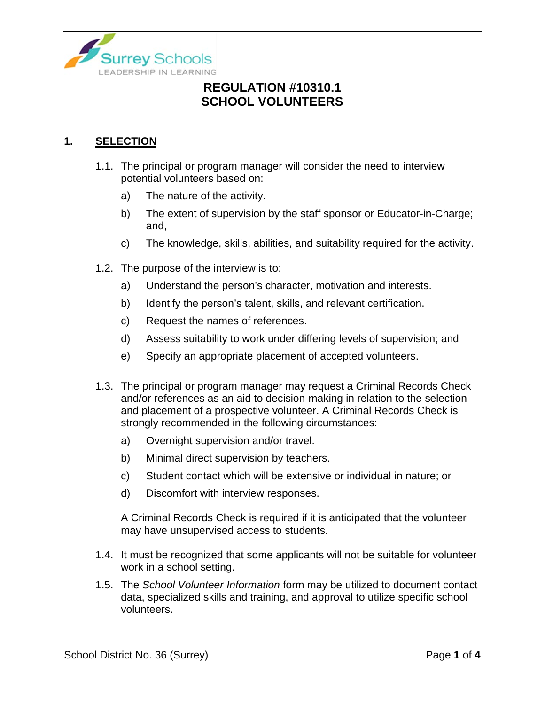

### **1. SELECTION**

- 1.1. The principal or program manager will consider the need to interview potential volunteers based on:
	- a) The nature of the activity.
	- b) The extent of supervision by the staff sponsor or Educator-in-Charge; and,
	- c) The knowledge, skills, abilities, and suitability required for the activity.
- 1.2. The purpose of the interview is to:
	- a) Understand the person's character, motivation and interests.
	- b) Identify the person's talent, skills, and relevant certification.
	- c) Request the names of references.
	- d) Assess suitability to work under differing levels of supervision; and
	- e) Specify an appropriate placement of accepted volunteers.
- 1.3. The principal or program manager may request a Criminal Records Check and/or references as an aid to decision-making in relation to the selection and placement of a prospective volunteer. A Criminal Records Check is strongly recommended in the following circumstances:
	- a) Overnight supervision and/or travel.
	- b) Minimal direct supervision by teachers.
	- c) Student contact which will be extensive or individual in nature; or
	- d) Discomfort with interview responses.

A Criminal Records Check is required if it is anticipated that the volunteer may have unsupervised access to students.

- 1.4. It must be recognized that some applicants will not be suitable for volunteer work in a school setting.
- 1.5. The *School Volunteer Information* form may be utilized to document contact data, specialized skills and training, and approval to utilize specific school volunteers.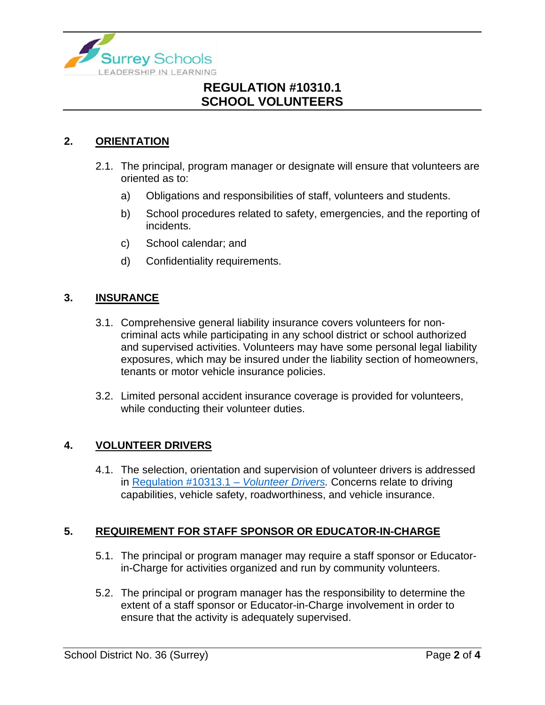

#### **2. ORIENTATION**

- 2.1. The principal, program manager or designate will ensure that volunteers are oriented as to:
	- a) Obligations and responsibilities of staff, volunteers and students.
	- b) School procedures related to safety, emergencies, and the reporting of incidents.
	- c) School calendar; and
	- d) Confidentiality requirements.

#### **3. INSURANCE**

- 3.1. Comprehensive general liability insurance covers volunteers for noncriminal acts while participating in any school district or school authorized and supervised activities. Volunteers may have some personal legal liability exposures, which may be insured under the liability section of homeowners, tenants or motor vehicle insurance policies.
- 3.2. Limited personal accident insurance coverage is provided for volunteers, while conducting their volunteer duties.

#### **4. VOLUNTEER DRIVERS**

4.1. The selection, orientation and supervision of volunteer drivers is addressed in [Regulation #10313.1 –](https://www.surreyschools.ca/departments/SECT/PoliciesRegulations/section_10000/Documents/10313.1%20Regulation.pdf) *Volunteer Drivers.* Concerns relate to driving capabilities, vehicle safety, roadworthiness, and vehicle insurance.

#### **5. REQUIREMENT FOR STAFF SPONSOR OR EDUCATOR-IN-CHARGE**

- 5.1. The principal or program manager may require a staff sponsor or Educatorin-Charge for activities organized and run by community volunteers.
- 5.2. The principal or program manager has the responsibility to determine the extent of a staff sponsor or Educator-in-Charge involvement in order to ensure that the activity is adequately supervised.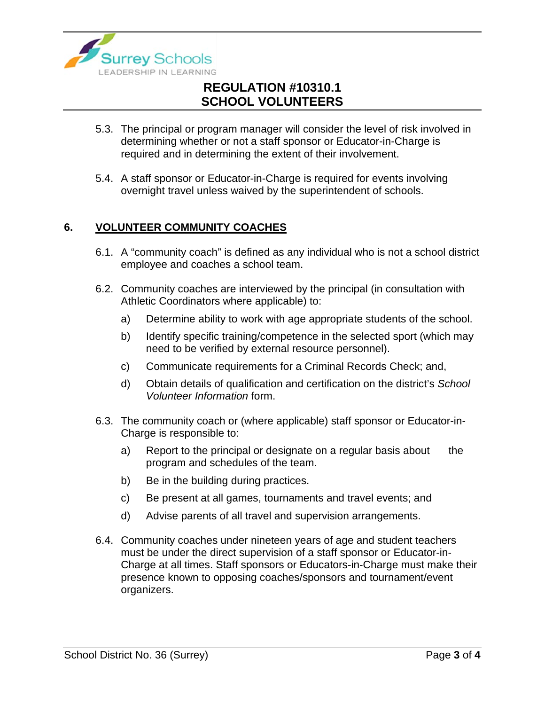

- 5.3. The principal or program manager will consider the level of risk involved in determining whether or not a staff sponsor or Educator-in-Charge is required and in determining the extent of their involvement.
- 5.4. A staff sponsor or Educator-in-Charge is required for events involving overnight travel unless waived by the superintendent of schools.

#### **6. VOLUNTEER COMMUNITY COACHES**

- 6.1. A "community coach" is defined as any individual who is not a school district employee and coaches a school team.
- 6.2. Community coaches are interviewed by the principal (in consultation with Athletic Coordinators where applicable) to:
	- a) Determine ability to work with age appropriate students of the school.
	- b) Identify specific training/competence in the selected sport (which may need to be verified by external resource personnel).
	- c) Communicate requirements for a Criminal Records Check; and,
	- d) Obtain details of qualification and certification on the district's *School Volunteer Information* form.
- 6.3. The community coach or (where applicable) staff sponsor or Educator-in-Charge is responsible to:
	- a) Report to the principal or designate on a regular basis about the program and schedules of the team.
	- b) Be in the building during practices.
	- c) Be present at all games, tournaments and travel events; and
	- d) Advise parents of all travel and supervision arrangements.
- 6.4. Community coaches under nineteen years of age and student teachers must be under the direct supervision of a staff sponsor or Educator-in-Charge at all times. Staff sponsors or Educators-in-Charge must make their presence known to opposing coaches/sponsors and tournament/event organizers.